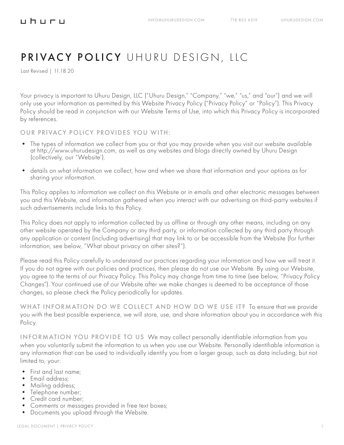#### <u>uhuru</u>

# PRIVACY POLICY UHURU DESIGN, LLC

Last Revised | 11.18.20

Your privacy is important to Uhuru Design, LLC ("Uhuru Design," "Company," "we," "us," and "our") and we will only use your information as permitted by this Website Privacy Policy ("Privacy Policy" or "Policy"). This Privacy Policy should be read in conjunction with our Website Terms of Use, into which this Privacy Policy is incorporated by references.

OUR PRIVACY POLICY PROVIDES YOU WITH:

- The types of information we collect from you or that you may provide when you visit our website available at http://www.uhurudesign.com, as well as any websites and blogs directly owned by Uhuru Design (collectively, our "Website').
- details on what information we collect, how and when we share that information and your options as for sharing your information.

This Policy applies to information we collect on this Website or in emails and other electronic messages between you and this Website, and information gathered when you interact with our advertising on third-party websites if such advertisements include links to this Policy.

This Policy does not apply to information collected by us offline or through any other means, including on any other website operated by the Company or any third party, or information collected by any third party through any application or content (including advertising) that may link to or be accessible from the Website (for further information, see below, "What about privacy on other sites?").

Please read this Policy carefully to understand our practices regarding your information and how we will treat it. If you do not agree with our policies and practices, then please do not use our Website. By using our Website, you agree to the terms of our Privacy Policy. This Policy may change from time to time (see below, "Privacy Policy Changes"). Your continued use of our Website after we make changes is deemed to be acceptance of those changes, so please check the Policy periodically for updates.

WHAT INFORMATION DO WE COLLECT AND HOW DO WE USE IT? To ensure that we provide you with the best possible experience, we will store, use, and share information about you in accordance with this Policy.

INFORMATION YOU PROVIDE TO US We may collect personally identifiable information from you when you voluntarily submit the information to us when you use our Website. Personally identifiable information is any information that can be used to individually identify you from a larger group, such as data including, but not limited to, your:

- First and last name;
- Email address;
- Mailing address;<br>• Telephone number;
- 
- 
- Credit card number;<br>• Comments or messages provided in free text boxes;<br>• Documents you upload through the Website.
-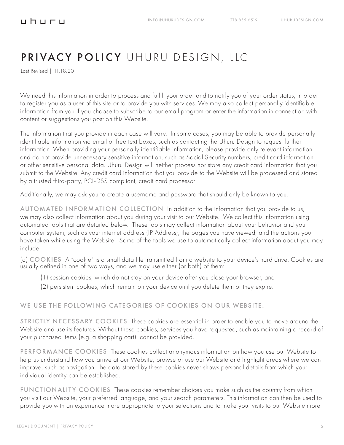Last Revised | 11.18.20

We need this information in order to process and fulfill your order and to notify you of your order status, in order to register you as a user of this site or to provide you with services. We may also collect personally identifiable information from you if you choose to subscribe to our email program or enter the information in connection with content or suggestions you post on this Website.

The information that you provide in each case will vary. In some cases, you may be able to provide personally identifiable information via email or free text boxes, such as contacting the Uhuru Design to request further information. When providing your personally identifiable information, please provide only relevant information and do not provide unnecessary sensitive information, such as Social Security numbers, credit card information or other sensitive personal data. Uhuru Design will neither process nor store any credit card information that you submit to the Website. Any credit card information that you provide to the Website will be processed and stored by a trusted third-party, PCI-DSS compliant, credit card processor.

Additionally, we may ask you to create a username and password that should only be known to you.

AUTOMATED INFORMATION COLLECTION In addition to the information that you provide to us, we may also collect information about you during your visit to our Website. We collect this information using automated tools that are detailed below. These tools may collect information about your behavior and your computer system, such as your internet address (IP Address), the pages you have viewed, and the actions you have taken while using the Website. Some of the tools we use to automatically collect information about you may include:

(a) COOKIES A "cookie" is a small data file transmitted from a website to your device's hard drive. Cookies are usually defined in one of two ways, and we may use either (or both) of them:

- (1) session cookies, which do not stay on your device after you close your browser, and
- (2) persistent cookies, which remain on your device until you delete them or they expire.

#### WE USE THE FOLLOWING CATEGORIES OF COOKIES ON OUR WEBSITE:

STRICTLY NECESSARY COOKIES These cookies are essential in order to enable you to move around the Website and use its features. Without these cookies, services you have requested, such as maintaining a record of your purchased items (e.g. a shopping cart), cannot be provided.

PERFORMANCE COOKIES These cookies collect anonymous information on how you use our Website to help us understand how you arrive at our Website, browse or use our Website and highlight areas where we can improve, such as navigation. The data stored by these cookies never shows personal details from which your individual identity can be established.

FUNCTIONALITY COOKIES These cookies remember choices you make such as the country from which you visit our Website, your preferred language, and your search parameters. This information can then be used to provide you with an experience more appropriate to your selections and to make your visits to our Website more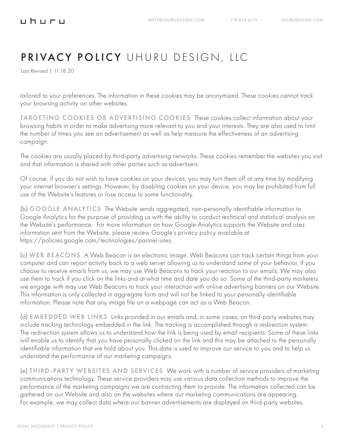Last Revised | 11.18.20

<u>uhuru</u>

tailored to your preferences. The information in these cookies may be anonymized. These cookies cannot track your browsing activity on other websites.

TARGETING COOKIES OR ADVERTISING COOKIES These cookies collect information about your browsing habits in order to make advertising more relevant to you and your interests. They are also used to limit the number of times you see an advertisement as well as help measure the effectiveness of an advertising campaign.

The cookies are usually placed by third-party advertising networks. These cookies remember the websites you visit and that information is shared with other parties such as advertisers.

Of course, if you do not wish to have cookies on your devices, you may turn them off at any time by modifying your internet browser's settings. However, by disabling cookies on your device, you may be prohibited from full use of the Website's features or lose access to some functionality.

(b) GOOGLE ANALYTICS The Website sends aggregated, non-personally identifiable information to Google Analytics for the purpose of providing us with the ability to conduct technical and statistical analysis on the Website's performance. For more information on how Google Analytics supports the Website and uses information sent from the Website, please review Google's privacy policy available at https://policies.google.com/technologies/partner-sites.

(c) WEB BEACONS A Web Beacon is an electronic image. Web Beacons can track certain things from your computer and can report activity back to a web server allowing us to understand some of your behavior. If you choose to receive emails from us, we may use Web Beacons to track your reaction to our emails. We may also use them to track if you click on the links and at what time and date you do so. Some of the third-party marketers we engage with may use Web Beacons to track your interaction with online advertising banners on our Website. This information is only collected in aggregate form and will not be linked to your personally identifiable information. Please note that any image file on a webpage can act as a Web Beacon.

(d) EMBEDDED WEB LINKS Links provided in our emails and, in some cases, on third-party websites may include tracking technology embedded in the link. The tracking is accomplished through a redirection system. The redirection system allows us to understand how the link is being used by email recipients. Some of these links will enable us to identify that you have personally clicked on the link and this may be attached to the personally identifiable information that we hold about you. This data is used to improve our service to you and to help us understand the performance of our marketing campaigns.

(e) THIRD-PARTY WEBSITES AND SERVICES We work with a number of service providers of marketing communications technology. These service providers may use various data collection methods to improve the performance of the marketing campaigns we are contracting them to provide. The information collected can be gathered on our Website and also on the websites where our marketing communications are appearing. For example, we may collect data where our banner advertisements are displayed on third-party websites.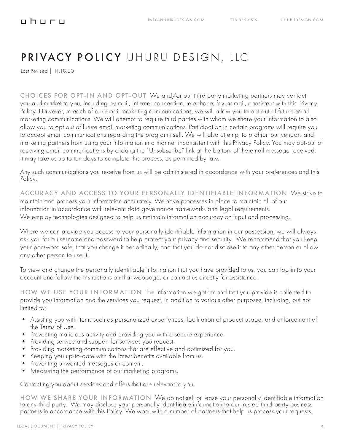Last Revised | 11.18.20

CHOICES FOR OPT-IN AND OPT-OUT We and/or our third party marketing partners may contact you and market to you, including by mail, Internet connection, telephone, fax or mail, consistent with this Privacy Policy. However, in each of our email marketing communications, we will allow you to opt out of future email marketing communications. We will attempt to require third parties with whom we share your information to also allow you to opt out of future email marketing communications. Participation in certain programs will require you to accept email communications regarding the program itself. We will also attempt to prohibit our vendors and marketing partners from using your information in a manner inconsistent with this Privacy Policy. You may opt-out of receiving email communications by clicking the "Unsubscribe" link at the bottom of the email message received. It may take us up to ten days to complete this process, as permitted by law.

Any such communications you receive from us will be administered in accordance with your preferences and this Policy.

ACCURACY AND ACCESS TO YOUR PERSONALLY IDENTIFIABLE INFORMATION We strive to maintain and process your information accurately. We have processes in place to maintain all of our information in accordance with relevant data governance frameworks and legal requirements. We employ technologies designed to help us maintain information accuracy on input and processing.

Where we can provide you access to your personally identifiable information in our possession, we will always ask you for a username and password to help protect your privacy and security. We recommend that you keep your password safe, that you change it periodically, and that you do not disclose it to any other person or allow any other person to use it.

To view and change the personally identifiable information that you have provided to us, you can log in to your account and follow the instructions on that webpage, or contact us directly for assistance.

HOW WE USE YOUR INFORMATION The information we gather and that you provide is collected to provide you information and the services you request, in addition to various other purposes, including, but not limited to:

- Assisting you with items such as personalized experiences, facilitation of product usage, and enforcement of the Terms of Use.
- Preventing malicious activity and providing you with a secure experience.
- Providing service and support for services you request.
- Providing marketing communications that are effective and optimized for you.
- Keeping you up-to-date with the latest benefits available from us.
- Preventing unwanted messages or content.
- Measuring the performance of our marketing programs.

Contacting you about services and offers that are relevant to you.

HOW WE SHARE YOUR INFORMATION We do not sell or lease your personally identifiable information to any third party. We may disclose your personally identifiable information to our trusted third-party business partners in accordance with this Policy. We work with a number of partners that help us process your requests,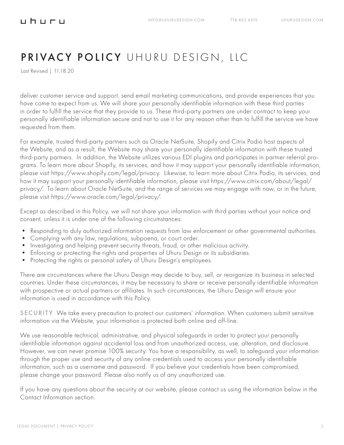Last Revised | 11.18.20

deliver customer service and support, send email marketing communications, and provide experiences that you have come to expect from us. We will share your personally identifiable information with these third parties in order to fulfill the service that they provide to us. These third-party partners are under contract to keep your personally identifiable information secure and not to use it for any reason other than to fulfill the service we have requested from them.

For example, trusted third-party partners such as Oracle NetSuite, Shopify and Citrix Podio host aspects of the Website, and as a result, the Website may share your personally identifiable information with these trusted third-party partners. In addition, the Website utilizes various EDI plugins and participates in partner referral programs. To learn more about Shopify, its services, and how it may support your personally identifiable information, please visit https://www.shopify.com/legal/privacy. Likewise, to learn more about Citrix Podio, its services, and how it may support your personally identifiable information, please visit https://www.citrix.com/about/legal/ privacy/. To learn about Oracle NetSuite, and the range of services we may engage with now, or in the future, please visit https://www.oracle.com/legal/privacy/.

Except as described in this Policy, we will not share your information with third parties without your notice and consent, unless it is under one of the following circumstances:

- Responding to duly authorized information requests from law enforcement or other governmental authorities.
- Complying with any law, regulations, subpoena, or court order.
- Investigating and helping prevent security threats, fraud, or other malicious activity.
- Enforcing or protecting the rights and properties of Uhuru Design or its subsidiaries.
- Protecting the rights or personal safety of Uhuru Design's employees.

There are circumstances where the Uhuru Design may decide to buy, sell, or reorganize its business in selected countries. Under these circumstances, it may be necessary to share or receive personally identifiable information with prospective or actual partners or affiliates. In such circumstances, the Uhuru Design will ensure your information is used in accordance with this Policy.

SECURITY We take every precaution to protect our customers' information. When customers submit sensitive information via the Website, your information is protected both online and off-line.

We use reasonable technical, administrative, and physical safeguards in order to protect your personally identifiable information against accidental loss and from unauthorized access, use, alteration, and disclosure. However, we can never promise 100% security. You have a responsibility, as well, to safeguard your information through the proper use and security of any online credentials used to access your personally identifiable information, such as a username and password. If you believe your credentials have been compromised, please change your password. Please also notify us of any unauthorized use.

If you have any questions about the security at our website, please contact us using the information below in the Contact Information section.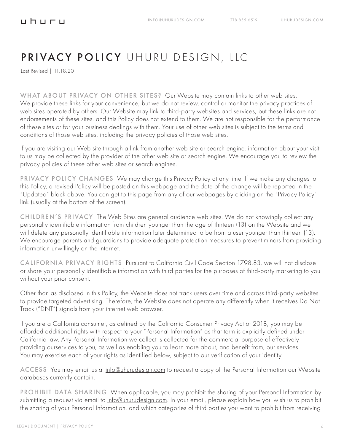Last Revised | 11.18.20

**⊔h⊔r⊔** 

WHAT ABOUT PRIVACY ON OTHER SITES? Our Website may contain links to other web sites. We provide these links for your convenience, but we do not review, control or monitor the privacy practices of web sites operated by others. Our Website may link to third-party websites and services, but these links are not endorsements of these sites, and this Policy does not extend to them. We are not responsible for the performance of these sites or for your business dealings with them. Your use of other web sites is subject to the terms and conditions of those web sites, including the privacy policies of those web sites.

If you are visiting our Web site through a link from another web site or search engine, information about your visit to us may be collected by the provider of the other web site or search engine. We encourage you to review the privacy policies of these other web sites or search engines.

PRIVACY POLICY CHANGES We may change this Privacy Policy at any time. If we make any changes to this Policy, a revised Policy will be posted on this webpage and the date of the change will be reported in the "Updated" block above. You can get to this page from any of our webpages by clicking on the "Privacy Policy" link (usually at the bottom of the screen).

CHILDREN'S PRIVACY The Web Sites are general audience web sites. We do not knowingly collect any personally identifiable information from children younger than the age of thirteen (13) on the Website and we will delete any personally identifiable information later determined to be from a user younger than thirteen (13). We encourage parents and guardians to provide adequate protection measures to prevent minors from providing information unwillingly on the internet.

CALIFORNIA PRIVACY RIGHTS Pursuant to California Civil Code Section 1798.83, we will not disclose or share your personally identifiable information with third parties for the purposes of third-party marketing to you without your prior consent.

Other than as disclosed in this Policy, the Website does not track users over time and across third-party websites to provide targeted advertising. Therefore, the Website does not operate any differently when it receives Do Not Track ("DNT") signals from your internet web browser.

If you are a California consumer, as defined by the California Consumer Privacy Act of 2018, you may be afforded additional rights with respect to your "Personal Information" as that term is explicitly defined under California law. Any Personal Information we collect is collected for the commercial purpose of effectively providing ourservices to you, as well as enabling you to learn more about, and benefit from, our services. You may exercise each of your rights as identified below, subject to our verification of your identity.

ACCESS You may email us at info@uhurudesign.com to request a copy of the Personal Information our Website databases currently contain.

PROHIBIT DATA SHARING When applicable, you may prohibit the sharing of your Personal Information by submitting a request via email to info@uhurudesign.com. In your email, please explain how you wish us to prohibit the sharing of your Personal Information, and which categories of third parties you want to prohibit from receiving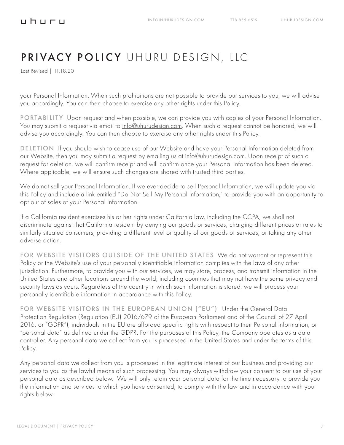Last Revised | 11.18.20

your Personal Information. When such prohibitions are not possible to provide our services to you, we will advise you accordingly. You can then choose to exercise any other rights under this Policy.

PORTABILITY Upon request and when possible, we can provide you with copies of your Personal Information. You may submit a request via email to info@uhurudesign.com. When such a request cannot be honored, we will advise you accordingly. You can then choose to exercise any other rights under this Policy.

DELETION If you should wish to cease use of our Website and have your Personal Information deleted from our Website, then you may submit a request by emailing us at info@uhurudesign.com. Upon receipt of such a request for deletion, we will confirm receipt and will confirm once your Personal Information has been deleted. Where applicable, we will ensure such changes are shared with trusted third parties.

We do not sell your Personal Information. If we ever decide to sell Personal Information, we will update you via this Policy and include a link entitled "Do Not Sell My Personal Information," to provide you with an opportunity to opt out of sales of your Personal Information.

If a California resident exercises his or her rights under California law, including the CCPA, we shall not discriminate against that California resident by denying our goods or services, charging different prices or rates to similarly situated consumers, providing a different level or quality of our goods or services, or taking any other adverse action.

FOR WEBSITE VISITORS OUTSIDE OF THE UNITED STATES We do not warrant or represent this Policy or the Website's use of your personally identifiable information complies with the laws of any other jurisdiction. Furthermore, to provide you with our services, we may store, process, and transmit information in the United States and other locations around the world, including countries that may not have the same privacy and security laws as yours. Regardless of the country in which such information is stored, we will process your personally identifiable information in accordance with this Policy.

FOR WEBSITE VISITORS IN THE EUROPEAN UNION ("EU") Under the General Data Protection Regulation (Regulation (EU) 2016/679 of the European Parliament and of the Council of 27 April 2016, or "GDPR"), individuals in the EU are afforded specific rights with respect to their Personal Information, or "personal data" as defined under the GDPR. For the purposes of this Policy, the Company operates as a data controller. Any personal data we collect from you is processed in the United States and under the terms of this Policy.

Any personal data we collect from you is processed in the legitimate interest of our business and providing our services to you as the lawful means of such processing. You may always withdraw your consent to our use of your personal data as described below. We will only retain your personal data for the time necessary to provide you the information and services to which you have consented, to comply with the law and in accordance with your rights below.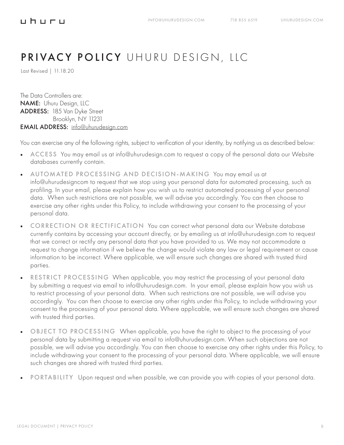#### <u>uhuru</u>

### PRIVACY POLICY UHURU DESIGN, LLC

Last Revised | 11.18.20

The Data Controllers are: NAME: Uhuru Design, LLC ADDRESS: 185 Van Dyke Street Brooklyn, NY 11231 EMAIL ADDRESS: info@uhurudesign.com

You can exercise any of the following rights, subject to verification of your identity, by notifying us as described below:

- ACCESS You may email us at info@uhurudesign.com to request a copy of the personal data our Website databases currently contain.
- AUTOMATED PROCESSING AND DECISION-MAKING You may email us at info@uhurudesigncom to request that we stop using your personal data for automated processing, such as profiling. In your email, please explain how you wish us to restrict automated processing of your personal data. When such restrictions are not possible, we will advise you accordingly. You can then choose to exercise any other rights under this Policy, to include withdrawing your consent to the processing of your personal data.
- CORRECTION OR RECTIFICATION You can correct what personal data our Website database currently contains by accessing your account directly, or by emailing us at info@uhurudesign.com to request that we correct or rectify any personal data that you have provided to us. We may not accommodate a request to change information if we believe the change would violate any law or legal requirement or cause information to be incorrect. Where applicable, we will ensure such changes are shared with trusted third parties.
- RESTRICT PROCESSING When applicable, you may restrict the processing of your personal data by submitting a request via email to info@uhurudesign.com. In your email, please explain how you wish us to restrict processing of your personal data. When such restrictions are not possible, we will advise you accordingly. You can then choose to exercise any other rights under this Policy, to include withdrawing your consent to the processing of your personal data. Where applicable, we will ensure such changes are shared with trusted third parties.
- OBJECT TO PROCESSING When applicable, you have the right to object to the processing of your personal data by submitting a request via email to info@uhurudesign.com. When such objections are not possible, we will advise you accordingly. You can then choose to exercise any other rights under this Policy, to include withdrawing your consent to the processing of your personal data. Where applicable, we will ensure such changes are shared with trusted third parties.
- PORTABILITY Upon request and when possible, we can provide you with copies of your personal data.